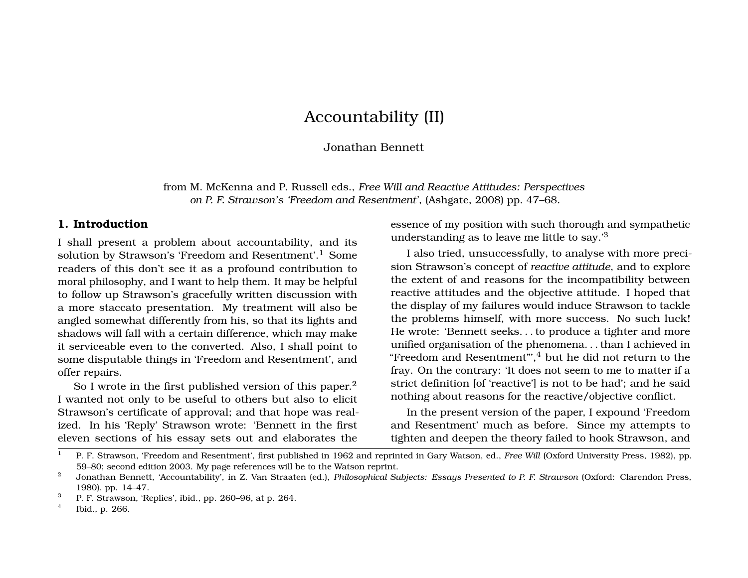# Accountability (II)

## Jonathan Bennett

from M. McKenna and P. Russell eds., *Free Will and Reactive Attitudes: Perspectives on P. F. Strawson's 'Freedom and Resentment'*, (Ashgate, 2008) pp. 47–68.

#### **1. Introduction**

I shall present a problem about accountability, and its solution by Strawson's 'Freedom and Resentment'.<sup>1</sup> Some readers of this don't see it as a profound contribution to moral philosophy, and I want to help them. It may be helpful to follow up Strawson's gracefully written discussion with a more staccato presentation. My treatment will also be angled somewhat differently from his, so that its lights and shadows will fall with a certain difference, which may make it serviceable even to the converted. Also, I shall point to some disputable things in 'Freedom and Resentment', and offer repairs.

So I wrote in the first published version of this paper.<sup>2</sup> I wanted not only to be useful to others but also to elicit Strawson's certificate of approval; and that hope was realized. In his 'Reply' Strawson wrote: 'Bennett in the first eleven sections of his essay sets out and elaborates the

essence of my position with such thorough and sympathetic understanding as to leave me little to say.'<sup>3</sup>

I also tried, unsuccessfully, to analyse with more precision Strawson's concept of *reactive attitude*, and to explore the extent of and reasons for the incompatibility between reactive attitudes and the objective attitude. I hoped that the display of my failures would induce Strawson to tackle the problems himself, with more success. No such luck! He wrote: 'Bennett seeks. . . to produce a tighter and more unified organisation of the phenomena. . . than I achieved in "Freedom and Resentment", $4$  but he did not return to the fray. On the contrary: 'It does not seem to me to matter if a strict definition [of 'reactive'] is not to be had'; and he said nothing about reasons for the reactive/objective conflict.

In the present version of the paper, I expound 'Freedom and Resentment' much as before. Since my attempts to tighten and deepen the theory failed to hook Strawson, and

<sup>1</sup> P. F. Strawson, 'Freedom and Resentment', first published in 1962 and reprinted in Gary Watson, ed., *Free Will* (Oxford University Press, 1982), pp. 59–80; second edition 2003. My page references will be to the Watson reprint.

<sup>2</sup> Jonathan Bennett, 'Accountability', in Z. Van Straaten (ed.), *Philosophical Subjects: Essays Presented to P. F. Strawson* (Oxford: Clarendon Press, 1980), pp. 14–47.

<sup>3</sup> P. F. Strawson, 'Replies', ibid., pp. 260–96, at p. 264.

<sup>4</sup> Ibid., p. 266.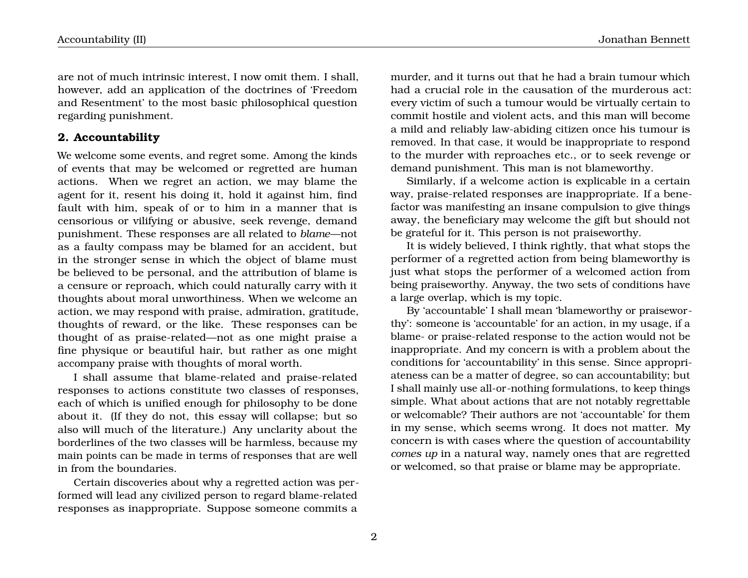are not of much intrinsic interest, I now omit them. I shall, however, add an application of the doctrines of 'Freedom and Resentment' to the most basic philosophical question regarding punishment.

## **2. Accountability**

We welcome some events, and regret some. Among the kinds of events that may be welcomed or regretted are human actions. When we regret an action, we may blame the agent for it, resent his doing it, hold it against him, find fault with him, speak of or to him in a manner that is censorious or vilifying or abusive, seek revenge, demand punishment. These responses are all related to *blame*—not as a faulty compass may be blamed for an accident, but in the stronger sense in which the object of blame must be believed to be personal, and the attribution of blame is a censure or reproach, which could naturally carry with it thoughts about moral unworthiness. When we welcome an action, we may respond with praise, admiration, gratitude, thoughts of reward, or the like. These responses can be thought of as praise-related—not as one might praise a fine physique or beautiful hair, but rather as one might accompany praise with thoughts of moral worth.

I shall assume that blame-related and praise-related responses to actions constitute two classes of responses, each of which is unified enough for philosophy to be done about it. (If they do not, this essay will collapse; but so also will much of the literature.) Any unclarity about the borderlines of the two classes will be harmless, because my main points can be made in terms of responses that are well in from the boundaries.

Certain discoveries about why a regretted action was performed will lead any civilized person to regard blame-related responses as inappropriate. Suppose someone commits a

murder, and it turns out that he had a brain tumour which had a crucial role in the causation of the murderous act: every victim of such a tumour would be virtually certain to commit hostile and violent acts, and this man will become a mild and reliably law-abiding citizen once his tumour is removed. In that case, it would be inappropriate to respond to the murder with reproaches etc., or to seek revenge or demand punishment. This man is not blameworthy.

Similarly, if a welcome action is explicable in a certain way, praise-related responses are inappropriate. If a benefactor was manifesting an insane compulsion to give things away, the beneficiary may welcome the gift but should not be grateful for it. This person is not praiseworthy.

It is widely believed, I think rightly, that what stops the performer of a regretted action from being blameworthy is just what stops the performer of a welcomed action from being praiseworthy. Anyway, the two sets of conditions have a large overlap, which is my topic.

By 'accountable' I shall mean 'blameworthy or praiseworthy': someone is 'accountable' for an action, in my usage, if a blame- or praise-related response to the action would not be inappropriate. And my concern is with a problem about the conditions for 'accountability' in this sense. Since appropriateness can be a matter of degree, so can accountability; but I shall mainly use all-or-nothing formulations, to keep things simple. What about actions that are not notably regrettable or welcomable? Their authors are not 'accountable' for them in my sense, which seems wrong. It does not matter. My concern is with cases where the question of accountability *comes up* in a natural way, namely ones that are regretted or welcomed, so that praise or blame may be appropriate.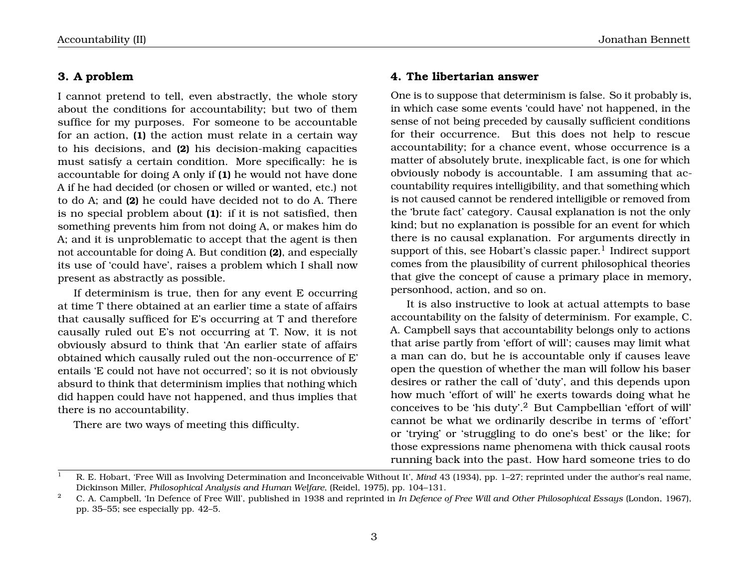#### **3. A problem**

I cannot pretend to tell, even abstractly, the whole story about the conditions for accountability; but two of them suffice for my purposes. For someone to be accountable for an action, **(1)** the action must relate in a certain way to his decisions, and **(2)** his decision-making capacities must satisfy a certain condition. More specifically: he is accountable for doing A only if **(1)** he would not have done A if he had decided (or chosen or willed or wanted, etc.) not to do A; and **(2)** he could have decided not to do A. There is no special problem about **(1)**: if it is not satisfied, then something prevents him from not doing A, or makes him do A; and it is unproblematic to accept that the agent is then not accountable for doing A. But condition **(2)**, and especially its use of 'could have', raises a problem which I shall now present as abstractly as possible.

If determinism is true, then for any event E occurring at time T there obtained at an earlier time a state of affairs that causally sufficed for E's occurring at T and therefore causally ruled out E's not occurring at T. Now, it is not obviously absurd to think that 'An earlier state of affairs obtained which causally ruled out the non-occurrence of E' entails 'E could not have not occurred'; so it is not obviously absurd to think that determinism implies that nothing which did happen could have not happened, and thus implies that there is no accountability.

There are two ways of meeting this difficulty.

#### **4. The libertarian answer**

One is to suppose that determinism is false. So it probably is, in which case some events 'could have' not happened, in the sense of not being preceded by causally sufficient conditions for their occurrence. But this does not help to rescue accountability; for a chance event, whose occurrence is a matter of absolutely brute, inexplicable fact, is one for which obviously nobody is accountable. I am assuming that accountability requires intelligibility, and that something which is not caused cannot be rendered intelligible or removed from the 'brute fact' category. Causal explanation is not the only kind; but no explanation is possible for an event for which there is no causal explanation. For arguments directly in support of this, see Hobart's classic paper.<sup>1</sup> Indirect support comes from the plausibility of current philosophical theories that give the concept of cause a primary place in memory, personhood, action, and so on.

It is also instructive to look at actual attempts to base accountability on the falsity of determinism. For example, C. A. Campbell says that accountability belongs only to actions that arise partly from 'effort of will'; causes may limit what a man can do, but he is accountable only if causes leave open the question of whether the man will follow his baser desires or rather the call of 'duty', and this depends upon how much 'effort of will' he exerts towards doing what he conceives to be 'his duty'.<sup>2</sup> But Campbellian 'effort of will' cannot be what we ordinarily describe in terms of 'effort' or 'trying' or 'struggling to do one's best' or the like; for those expressions name phenomena with thick causal roots running back into the past. How hard someone tries to do

<sup>1</sup> R. E. Hobart, 'Free Will as Involving Determination and Inconceivable Without It', *Mind* 43 (1934), pp. 1–27; reprinted under the author's real name, Dickinson Miller, *Philosophical Analysis and Human Welfare*, (Reidel, 1975), pp. 104–131.

<sup>2</sup> C. A. Campbell, 'In Defence of Free Will', published in 1938 and reprinted in *In Defence of Free Will and Other Philosophical Essays* (London, 1967), pp. 35–55; see especially pp. 42–5.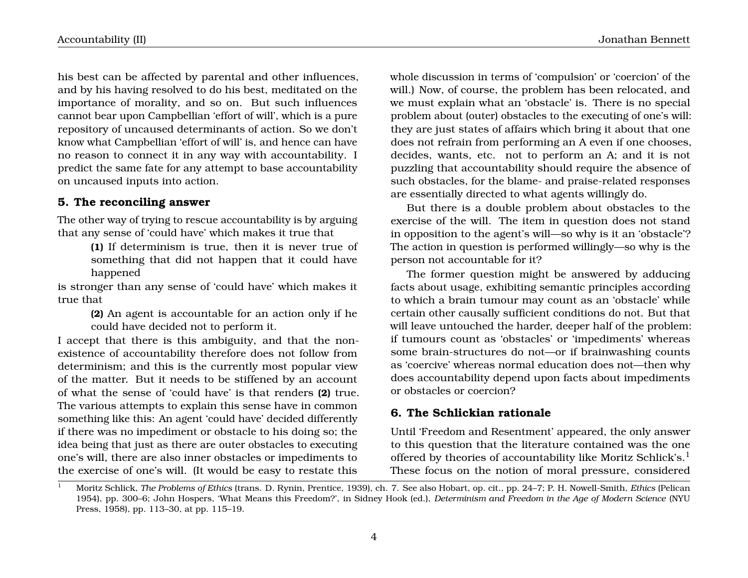his best can be affected by parental and other influences, and by his having resolved to do his best, meditated on the importance of morality, and so on. But such influences cannot bear upon Campbellian 'effort of will', which is a pure repository of uncaused determinants of action. So we don't know what Campbellian 'effort of will' is, and hence can have no reason to connect it in any way with accountability. I predict the same fate for any attempt to base accountability on uncaused inputs into action.

## **5. The reconciling answer**

The other way of trying to rescue accountability is by arguing that any sense of 'could have' which makes it true that

> **(1)** If determinism is true, then it is never true of something that did not happen that it could have happened

is stronger than any sense of 'could have' which makes it true that

> **(2)** An agent is accountable for an action only if he could have decided not to perform it.

I accept that there is this ambiguity, and that the nonexistence of accountability therefore does not follow from determinism; and this is the currently most popular view of the matter. But it needs to be stiffened by an account of what the sense of 'could have' is that renders **(2)** true. The various attempts to explain this sense have in common something like this: An agent 'could have' decided differently if there was no impediment or obstacle to his doing so; the idea being that just as there are outer obstacles to executing one's will, there are also inner obstacles or impediments to the exercise of one's will. (It would be easy to restate this

<sup>1</sup> Moritz Schlick, *The Problems of Ethics* (trans. D. Rynin, Prentice, 1939), ch. 7. See also Hobart, op. cit., pp. 24–7; P. H. Nowell-Smith, *Ethics* (Pelican 1954), pp. 300–6; John Hospers, 'What Means this Freedom?', in Sidney Hook (ed.), *Determinism and Freedom in the Age of Modern Science* (NYU Press, 1958), pp. 113–30, at pp. 115–19.

Accountability (II) Jonathan Bennett

whole discussion in terms of 'compulsion' or 'coercion' of the will.) Now, of course, the problem has been relocated, and we must explain what an 'obstacle' is. There is no special problem about (outer) obstacles to the executing of one's will: they are just states of affairs which bring it about that one does not refrain from performing an A even if one chooses, decides, wants, etc. not to perform an A; and it is not puzzling that accountability should require the absence of such obstacles, for the blame- and praise-related responses are essentially directed to what agents willingly do.

But there is a double problem about obstacles to the exercise of the will. The item in question does not stand in opposition to the agent's will—so why is it an 'obstacle'? The action in question is performed willingly—so why is the person not accountable for it?

The former question might be answered by adducing facts about usage, exhibiting semantic principles according to which a brain tumour may count as an 'obstacle' while certain other causally sufficient conditions do not. But that will leave untouched the harder, deeper half of the problem: if tumours count as 'obstacles' or 'impediments' whereas some brain-structures do not—or if brainwashing counts as 'coercive' whereas normal education does not—then why does accountability depend upon facts about impediments or obstacles or coercion?

## **6. The Schlickian rationale**

Until 'Freedom and Resentment' appeared, the only answer to this question that the literature contained was the one offered by theories of accountability like Moritz Schlick's.<sup>1</sup> These focus on the notion of moral pressure, considered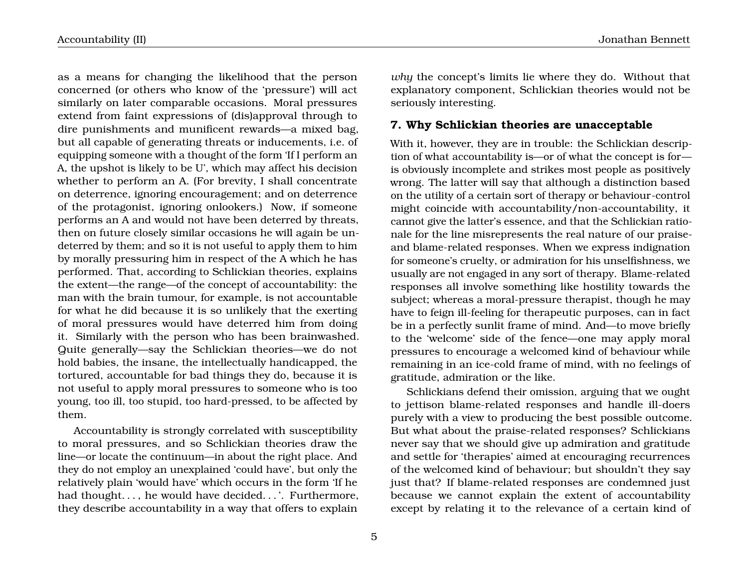as a means for changing the likelihood that the person concerned (or others who know of the 'pressure') will act similarly on later comparable occasions. Moral pressures extend from faint expressions of (dis)approval through to dire punishments and munificent rewards—a mixed bag, but all capable of generating threats or inducements, i.e. of equipping someone with a thought of the form 'If I perform an A, the upshot is likely to be U', which may affect his decision whether to perform an A. (For brevity, I shall concentrate on deterrence, ignoring encouragement; and on deterrence of the protagonist, ignoring onlookers.) Now, if someone performs an A and would not have been deterred by threats, then on future closely similar occasions he will again be undeterred by them; and so it is not useful to apply them to him by morally pressuring him in respect of the A which he has performed. That, according to Schlickian theories, explains the extent—the range—of the concept of accountability: the man with the brain tumour, for example, is not accountable for what he did because it is so unlikely that the exerting of moral pressures would have deterred him from doing it. Similarly with the person who has been brainwashed. Quite generally—say the Schlickian theories—we do not hold babies, the insane, the intellectually handicapped, the tortured, accountable for bad things they do, because it is not useful to apply moral pressures to someone who is too young, too ill, too stupid, too hard-pressed, to be affected by them.

Accountability is strongly correlated with susceptibility to moral pressures, and so Schlickian theories draw the line—or locate the continuum—in about the right place. And they do not employ an unexplained 'could have', but only the relatively plain 'would have' which occurs in the form 'If he had thought..., he would have decided...'. Furthermore, they describe accountability in a way that offers to explain *why* the concept's limits lie where they do. Without that explanatory component, Schlickian theories would not be seriously interesting.

#### **7. Why Schlickian theories are unacceptable**

With it, however, they are in trouble: the Schlickian description of what accountability is—or of what the concept is for is obviously incomplete and strikes most people as positively wrong. The latter will say that although a distinction based on the utility of a certain sort of therapy or behaviour-control might coincide with accountability/non-accountability, it cannot give the latter's essence, and that the Schlickian rationale for the line misrepresents the real nature of our praiseand blame-related responses. When we express indignation for someone's cruelty, or admiration for his unselfishness, we usually are not engaged in any sort of therapy. Blame-related responses all involve something like hostility towards the subject; whereas a moral-pressure therapist, though he may have to feign ill-feeling for therapeutic purposes, can in fact be in a perfectly sunlit frame of mind. And—to move briefly to the 'welcome' side of the fence—one may apply moral pressures to encourage a welcomed kind of behaviour while remaining in an ice-cold frame of mind, with no feelings of gratitude, admiration or the like.

Schlickians defend their omission, arguing that we ought to jettison blame-related responses and handle ill-doers purely with a view to producing the best possible outcome. But what about the praise-related responses? Schlickians never say that we should give up admiration and gratitude and settle for 'therapies' aimed at encouraging recurrences of the welcomed kind of behaviour; but shouldn't they say just that? If blame-related responses are condemned just because we cannot explain the extent of accountability except by relating it to the relevance of a certain kind of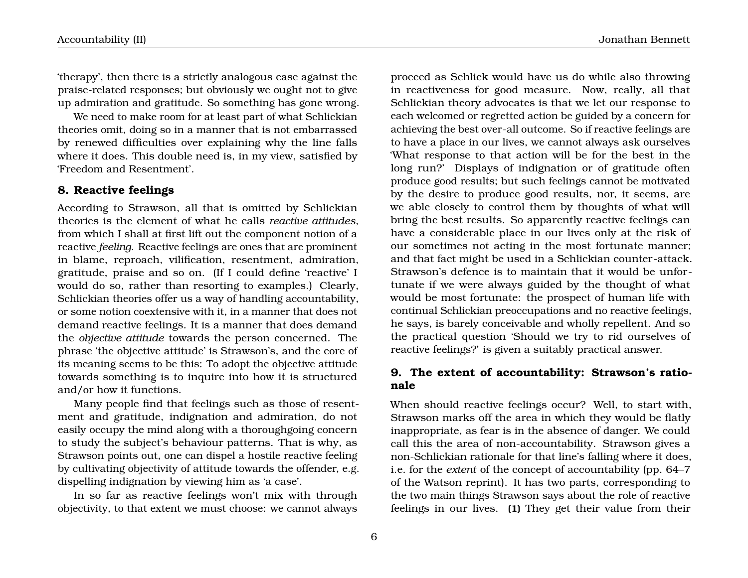'therapy', then there is a strictly analogous case against the praise-related responses; but obviously we ought not to give up admiration and gratitude. So something has gone wrong.

We need to make room for at least part of what Schlickian theories omit, doing so in a manner that is not embarrassed by renewed difficulties over explaining why the line falls where it does. This double need is, in my view, satisfied by 'Freedom and Resentment'.

## **8. Reactive feelings**

According to Strawson, all that is omitted by Schlickian theories is the element of what he calls *reactive attitudes*, from which I shall at first lift out the component notion of a reactive *feeling*. Reactive feelings are ones that are prominent in blame, reproach, vilification, resentment, admiration, gratitude, praise and so on. (If I could define 'reactive' I would do so, rather than resorting to examples.) Clearly, Schlickian theories offer us a way of handling accountability, or some notion coextensive with it, in a manner that does not demand reactive feelings. It is a manner that does demand the *objective attitude* towards the person concerned. The phrase 'the objective attitude' is Strawson's, and the core of its meaning seems to be this: To adopt the objective attitude towards something is to inquire into how it is structured and/or how it functions.

Many people find that feelings such as those of resentment and gratitude, indignation and admiration, do not easily occupy the mind along with a thoroughgoing concern to study the subject's behaviour patterns. That is why, as Strawson points out, one can dispel a hostile reactive feeling by cultivating objectivity of attitude towards the offender, e.g. dispelling indignation by viewing him as 'a case'.

In so far as reactive feelings won't mix with through objectivity, to that extent we must choose: we cannot always

proceed as Schlick would have us do while also throwing in reactiveness for good measure. Now, really, all that Schlickian theory advocates is that we let our response to each welcomed or regretted action be guided by a concern for achieving the best over-all outcome. So if reactive feelings are to have a place in our lives, we cannot always ask ourselves 'What response to that action will be for the best in the long run?' Displays of indignation or of gratitude often produce good results; but such feelings cannot be motivated by the desire to produce good results, nor, it seems, are we able closely to control them by thoughts of what will bring the best results. So apparently reactive feelings can have a considerable place in our lives only at the risk of our sometimes not acting in the most fortunate manner; and that fact might be used in a Schlickian counter-attack. Strawson's defence is to maintain that it would be unfortunate if we were always guided by the thought of what would be most fortunate: the prospect of human life with continual Schlickian preoccupations and no reactive feelings, he says, is barely conceivable and wholly repellent. And so the practical question 'Should we try to rid ourselves of reactive feelings?' is given a suitably practical answer.

## **9. The extent of accountability: Strawson's rationale**

When should reactive feelings occur? Well, to start with, Strawson marks off the area in which they would be flatly inappropriate, as fear is in the absence of danger. We could call this the area of non-accountability. Strawson gives a non-Schlickian rationale for that line's falling where it does, i.e. for the *extent* of the concept of accountability (pp. 64–7 of the Watson reprint). It has two parts, corresponding to the two main things Strawson says about the role of reactive feelings in our lives. **(1)** They get their value from their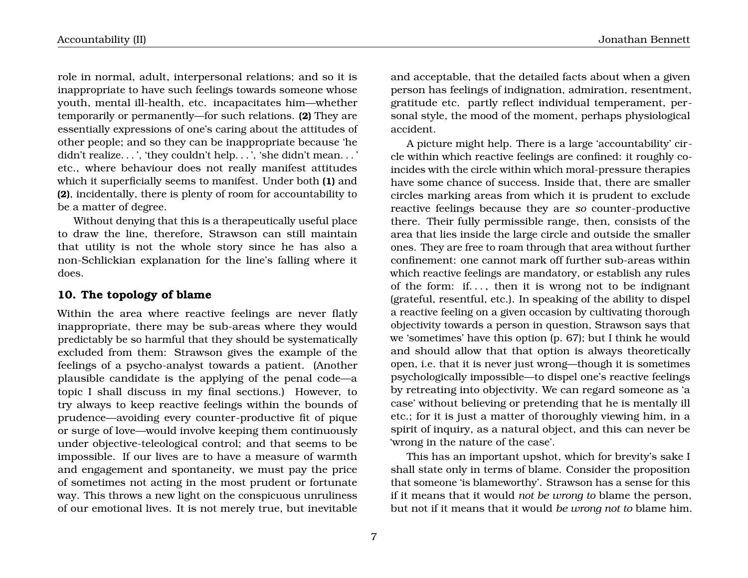role in normal, adult, interpersonal relations; and so it is inappropriate to have such feelings towards someone whose youth, mental ill-health, etc. incapacitates him—whether temporarily or permanently—for such relations. **(2)** They are essentially expressions of one's caring about the attitudes of other people; and so they can be inappropriate because 'he didn't realize...', 'they couldn't help...', 'she didn't mean...' etc., where behaviour does not really manifest attitudes which it superficially seems to manifest. Under both **(1)** and **(2)**, incidentally, there is plenty of room for accountability to be a matter of degree.

Without denying that this is a therapeutically useful place to draw the line, therefore, Strawson can still maintain that utility is not the whole story since he has also a non-Schlickian explanation for the line's falling where it does.

## **10. The topology of blame**

Within the area where reactive feelings are never flatly inappropriate, there may be sub-areas where they would predictably be so harmful that they should be systematically excluded from them: Strawson gives the example of the feelings of a psycho-analyst towards a patient. (Another plausible candidate is the applying of the penal code—a topic I shall discuss in my final sections.) However, to try always to keep reactive feelings within the bounds of prudence—avoiding every counter-productive fit of pique or surge of love—would involve keeping them continuously under objective-teleological control; and that seems to be impossible. If our lives are to have a measure of warmth and engagement and spontaneity, we must pay the price of sometimes not acting in the most prudent or fortunate way. This throws a new light on the conspicuous unruliness of our emotional lives. It is not merely true, but inevitable

and acceptable, that the detailed facts about when a given person has feelings of indignation, admiration, resentment, gratitude etc. partly reflect individual temperament, personal style, the mood of the moment, perhaps physiological accident.

A picture might help. There is a large 'accountability' circle within which reactive feelings are confined: it roughly coincides with the circle within which moral-pressure therapies have some chance of success. Inside that, there are smaller circles marking areas from which it is prudent to exclude reactive feelings because they are *so* counter-productive there. Their fully permissible range, then, consists of the area that lies inside the large circle and outside the smaller ones. They are free to roam through that area without further confinement: one cannot mark off further sub-areas within which reactive feelings are mandatory, or establish any rules of the form: if..., then it is wrong not to be indignant (grateful, resentful, etc.). In speaking of the ability to dispel a reactive feeling on a given occasion by cultivating thorough objectivity towards a person in question, Strawson says that we 'sometimes' have this option (p. 67); but I think he would and should allow that that option is always theoretically open, i.e. that it is never just wrong—though it is sometimes psychologically impossible—to dispel one's reactive feelings by retreating into objectivity. We can regard someone as 'a case' without believing or pretending that he is mentally ill etc.; for it is just a matter of thoroughly viewing him, in a spirit of inquiry, as a natural object, and this can never be 'wrong in the nature of the case'.

This has an important upshot, which for brevity's sake I shall state only in terms of blame. Consider the proposition that someone 'is blameworthy'. Strawson has a sense for this if it means that it would *not be wrong to* blame the person, but not if it means that it would *be wrong not to* blame him.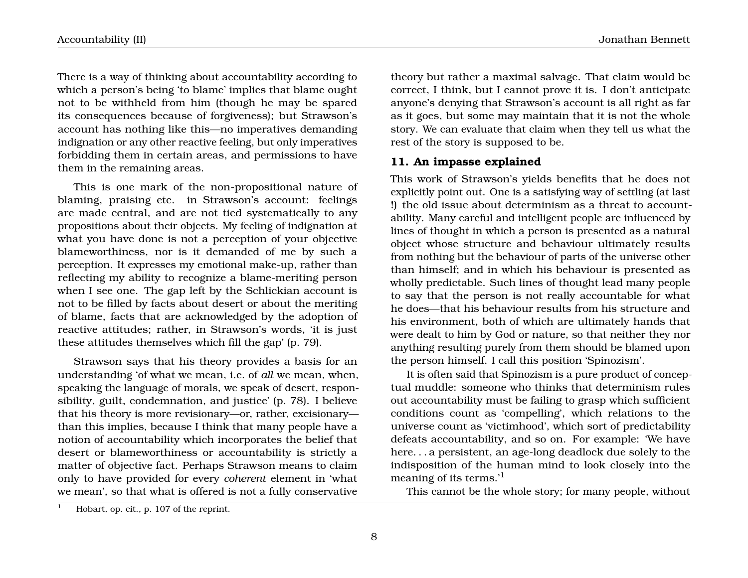There is a way of thinking about accountability according to which a person's being 'to blame' implies that blame ought not to be withheld from him (though he may be spared its consequences because of forgiveness); but Strawson's account has nothing like this—no imperatives demanding indignation or any other reactive feeling, but only imperatives forbidding them in certain areas, and permissions to have them in the remaining areas.

This is one mark of the non-propositional nature of blaming, praising etc. in Strawson's account: feelings are made central, and are not tied systematically to any propositions about their objects. My feeling of indignation at what you have done is not a perception of your objective blameworthiness, nor is it demanded of me by such a perception. It expresses my emotional make-up, rather than reflecting my ability to recognize a blame-meriting person when I see one. The gap left by the Schlickian account is not to be filled by facts about desert or about the meriting of blame, facts that are acknowledged by the adoption of reactive attitudes; rather, in Strawson's words, 'it is just these attitudes themselves which fill the gap' (p. 79).

Strawson says that his theory provides a basis for an understanding 'of what we mean, i.e. of *all* we mean, when, speaking the language of morals, we speak of desert, responsibility, guilt, condemnation, and justice' (p. 78). I believe that his theory is more revisionary—or, rather, excisionary than this implies, because I think that many people have a notion of accountability which incorporates the belief that desert or blameworthiness or accountability is strictly a matter of objective fact. Perhaps Strawson means to claim only to have provided for every *coherent* element in 'what we mean', so that what is offered is not a fully conservative

theory but rather a maximal salvage. That claim would be correct, I think, but I cannot prove it is. I don't anticipate anyone's denying that Strawson's account is all right as far as it goes, but some may maintain that it is not the whole story. We can evaluate that claim when they tell us what the rest of the story is supposed to be.

## **11. An impasse explained**

This work of Strawson's yields benefits that he does not explicitly point out. One is a satisfying way of settling (at last !) the old issue about determinism as a threat to accountability. Many careful and intelligent people are influenced by lines of thought in which a person is presented as a natural object whose structure and behaviour ultimately results from nothing but the behaviour of parts of the universe other than himself; and in which his behaviour is presented as wholly predictable. Such lines of thought lead many people to say that the person is not really accountable for what he does—that his behaviour results from his structure and his environment, both of which are ultimately hands that were dealt to him by God or nature, so that neither they nor anything resulting purely from them should be blamed upon the person himself. I call this position 'Spinozism'.

It is often said that Spinozism is a pure product of conceptual muddle: someone who thinks that determinism rules out accountability must be failing to grasp which sufficient conditions count as 'compelling', which relations to the universe count as 'victimhood', which sort of predictability defeats accountability, and so on. For example: 'We have here. . . a persistent, an age-long deadlock due solely to the indisposition of the human mind to look closely into the meaning of its terms.'<sup>1</sup>

This cannot be the whole story; for many people, without

<sup>1</sup> Hobart, op. cit., p. 107 of the reprint.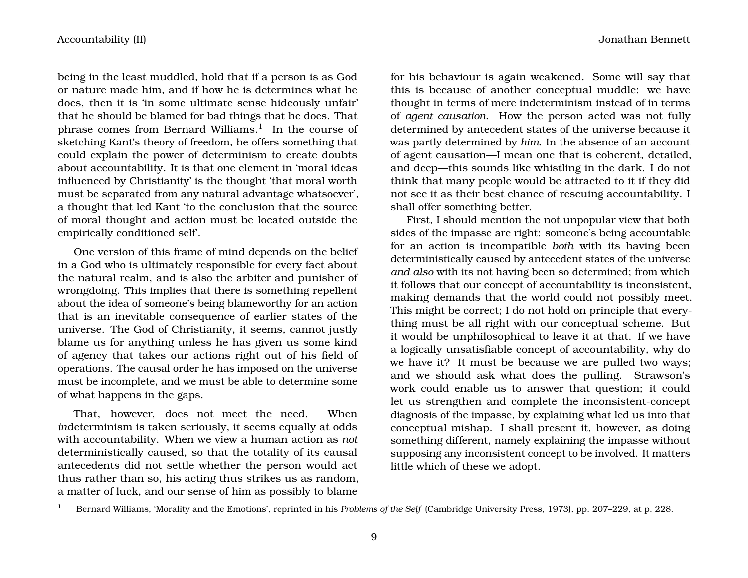being in the least muddled, hold that if a person is as God or nature made him, and if how he is determines what he does, then it is 'in some ultimate sense hideously unfair' that he should be blamed for bad things that he does. That phrase comes from Bernard Williams. $^{\rm l}$  In the course of sketching Kant's theory of freedom, he offers something that could explain the power of determinism to create doubts about accountability. It is that one element in 'moral ideas influenced by Christianity' is the thought 'that moral worth must be separated from any natural advantage whatsoever', a thought that led Kant 'to the conclusion that the source of moral thought and action must be located outside the empirically conditioned self'.

One version of this frame of mind depends on the belief in a God who is ultimately responsible for every fact about the natural realm, and is also the arbiter and punisher of wrongdoing. This implies that there is something repellent about the idea of someone's being blameworthy for an action that is an inevitable consequence of earlier states of the universe. The God of Christianity, it seems, cannot justly blame us for anything unless he has given us some kind of agency that takes our actions right out of his field of operations. The causal order he has imposed on the universe must be incomplete, and we must be able to determine some of what happens in the gaps.

That, however, does not meet the need. When *in*determinism is taken seriously, it seems equally at odds with accountability. When we view a human action as *not* deterministically caused, so that the totality of its causal antecedents did not settle whether the person would act thus rather than so, his acting thus strikes us as random, a matter of luck, and our sense of him as possibly to blame

for his behaviour is again weakened. Some will say that this is because of another conceptual muddle: we have thought in terms of mere indeterminism instead of in terms of *agent causation*. How the person acted was not fully determined by antecedent states of the universe because it was partly determined by *him*. In the absence of an account of agent causation—I mean one that is coherent, detailed, and deep—this sounds like whistling in the dark. I do not think that many people would be attracted to it if they did not see it as their best chance of rescuing accountability. I shall offer something better.

First, I should mention the not unpopular view that both sides of the impasse are right: someone's being accountable for an action is incompatible *both* with its having been deterministically caused by antecedent states of the universe *and also* with its not having been so determined; from which it follows that our concept of accountability is inconsistent, making demands that the world could not possibly meet. This might be correct; I do not hold on principle that everything must be all right with our conceptual scheme. But it would be unphilosophical to leave it at that. If we have a logically unsatisfiable concept of accountability, why do we have it? It must be because we are pulled two ways; and we should ask what does the pulling. Strawson's work could enable us to answer that question; it could let us strengthen and complete the inconsistent-concept diagnosis of the impasse, by explaining what led us into that conceptual mishap. I shall present it, however, as doing something different, namely explaining the impasse without supposing any inconsistent concept to be involved. It matters little which of these we adopt.

<sup>1</sup> Bernard Williams, 'Morality and the Emotions', reprinted in his *Problems of the Self* (Cambridge University Press, 1973), pp. 207–229, at p. 228.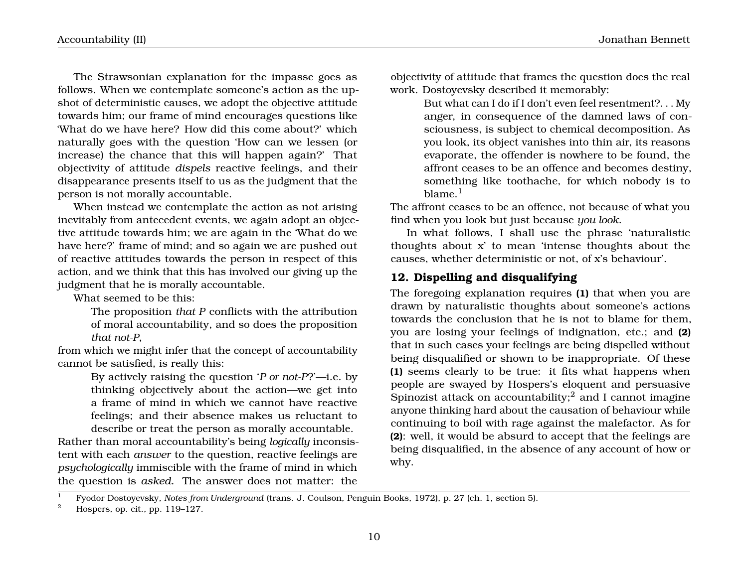The Strawsonian explanation for the impasse goes as follows. When we contemplate someone's action as the upshot of deterministic causes, we adopt the objective attitude towards him; our frame of mind encourages questions like 'What do we have here? How did this come about?' which naturally goes with the question 'How can we lessen (or increase) the chance that this will happen again?' That objectivity of attitude *dispels* reactive feelings, and their disappearance presents itself to us as the judgment that the person is not morally accountable.

When instead we contemplate the action as not arising inevitably from antecedent events, we again adopt an objective attitude towards him; we are again in the 'What do we have here?' frame of mind; and so again we are pushed out of reactive attitudes towards the person in respect of this action, and we think that this has involved our giving up the judgment that he is morally accountable.

What seemed to be this:

The proposition *that P* conflicts with the attribution of moral accountability, and so does the proposition *that not-P*,

from which we might infer that the concept of accountability cannot be satisfied, is really this:

> By actively raising the question '*P or not-P*?'—i.e. by thinking objectively about the action—we get into a frame of mind in which we cannot have reactive feelings; and their absence makes us reluctant to describe or treat the person as morally accountable.

Rather than moral accountability's being *logically* inconsistent with each *answer* to the question, reactive feelings are *psychologically* immiscible with the frame of mind in which the question is *asked*. The answer does not matter: the

objectivity of attitude that frames the question does the real work. Dostoyevsky described it memorably:

But what can I do if I don't even feel resentment?. . . My anger, in consequence of the damned laws of consciousness, is subject to chemical decomposition. As you look, its object vanishes into thin air, its reasons evaporate, the offender is nowhere to be found, the affront ceases to be an offence and becomes destiny, something like toothache, for which nobody is to  $blame.$ <sup>1</sup>

The affront ceases to be an offence, not because of what you find when you look but just because *you look*.

In what follows, I shall use the phrase 'naturalistic thoughts about x' to mean 'intense thoughts about the causes, whether deterministic or not, of x's behaviour'.

## **12. Dispelling and disqualifying**

The foregoing explanation requires **(1)** that when you are drawn by naturalistic thoughts about someone's actions towards the conclusion that he is not to blame for them, you are losing your feelings of indignation, etc.; and **(2)** that in such cases your feelings are being dispelled without being disqualified or shown to be inappropriate. Of these **(1)** seems clearly to be true: it fits what happens when people are swayed by Hospers's eloquent and persuasive Spinozist attack on accountability; $^2$  and I cannot imagine anyone thinking hard about the causation of behaviour while continuing to boil with rage against the malefactor. As for **(2)**: well, it would be absurd to accept that the feelings are being disqualified, in the absence of any account of how or why.

<sup>&</sup>lt;sup>1</sup> Fyodor Dostoyevsky, *Notes from Underground* (trans. J. Coulson, Penguin Books, 1972), p. 27 (ch. 1, section 5).

<sup>2</sup> Hospers, op. cit., pp. 119–127.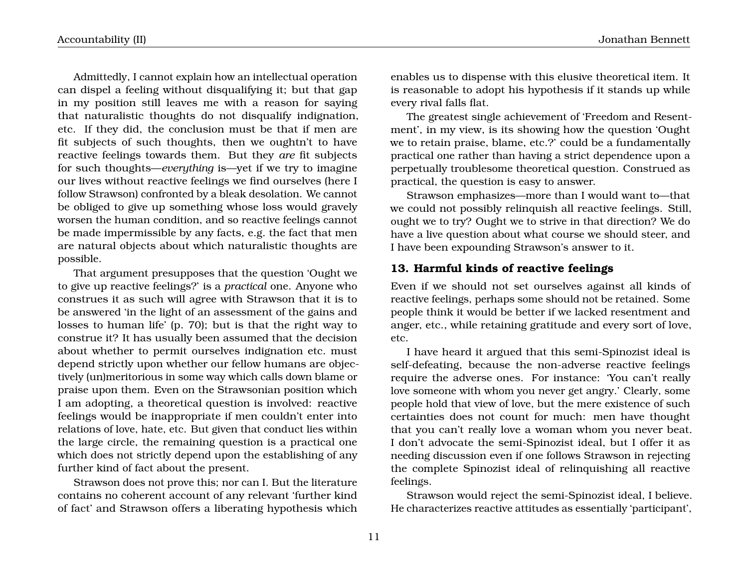Admittedly, I cannot explain how an intellectual operation can dispel a feeling without disqualifying it; but that gap in my position still leaves me with a reason for saying that naturalistic thoughts do not disqualify indignation, etc. If they did, the conclusion must be that if men are fit subjects of such thoughts, then we oughtn't to have reactive feelings towards them. But they *are* fit subjects for such thoughts—*everything* is—yet if we try to imagine our lives without reactive feelings we find ourselves (here I follow Strawson) confronted by a bleak desolation. We cannot be obliged to give up something whose loss would gravely worsen the human condition, and so reactive feelings cannot be made impermissible by any facts, e.g. the fact that men are natural objects about which naturalistic thoughts are possible.

That argument presupposes that the question 'Ought we to give up reactive feelings?' is a *practical* one. Anyone who construes it as such will agree with Strawson that it is to be answered 'in the light of an assessment of the gains and losses to human life' (p. 70); but is that the right way to construe it? It has usually been assumed that the decision about whether to permit ourselves indignation etc. must depend strictly upon whether our fellow humans are objectively (un)meritorious in some way which calls down blame or praise upon them. Even on the Strawsonian position which I am adopting, a theoretical question is involved: reactive feelings would be inappropriate if men couldn't enter into relations of love, hate, etc. But given that conduct lies within the large circle, the remaining question is a practical one which does not strictly depend upon the establishing of any further kind of fact about the present.

Strawson does not prove this; nor can I. But the literature contains no coherent account of any relevant 'further kind of fact' and Strawson offers a liberating hypothesis which enables us to dispense with this elusive theoretical item. It is reasonable to adopt his hypothesis if it stands up while every rival falls flat.

The greatest single achievement of 'Freedom and Resentment', in my view, is its showing how the question 'Ought we to retain praise, blame, etc.?' could be a fundamentally practical one rather than having a strict dependence upon a perpetually troublesome theoretical question. Construed as practical, the question is easy to answer.

Strawson emphasizes—more than I would want to—that we could not possibly relinquish all reactive feelings. Still, ought we to try? Ought we to strive in that direction? We do have a live question about what course we should steer, and I have been expounding Strawson's answer to it.

## **13. Harmful kinds of reactive feelings**

Even if we should not set ourselves against all kinds of reactive feelings, perhaps some should not be retained. Some people think it would be better if we lacked resentment and anger, etc., while retaining gratitude and every sort of love, etc.

I have heard it argued that this semi-Spinozist ideal is self-defeating, because the non-adverse reactive feelings require the adverse ones. For instance: 'You can't really love someone with whom you never get angry.' Clearly, some people hold that view of love, but the mere existence of such certainties does not count for much: men have thought that you can't really love a woman whom you never beat. I don't advocate the semi-Spinozist ideal, but I offer it as needing discussion even if one follows Strawson in rejecting the complete Spinozist ideal of relinquishing all reactive feelings.

Strawson would reject the semi-Spinozist ideal, I believe. He characterizes reactive attitudes as essentially 'participant',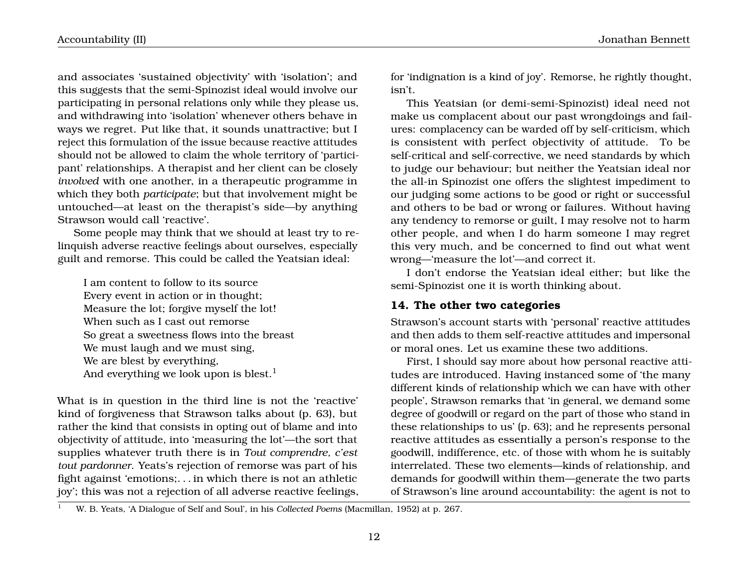and associates 'sustained objectivity' with 'isolation'; and this suggests that the semi-Spinozist ideal would involve our participating in personal relations only while they please us, and withdrawing into 'isolation' whenever others behave in ways we regret. Put like that, it sounds unattractive; but I reject this formulation of the issue because reactive attitudes should not be allowed to claim the whole territory of 'participant' relationships. A therapist and her client can be closely *involved* with one another, in a therapeutic programme in which they both *participate*; but that involvement might be untouched—at least on the therapist's side—by anything Strawson would call 'reactive'.

Some people may think that we should at least try to relinquish adverse reactive feelings about ourselves, especially guilt and remorse. This could be called the Yeatsian ideal:

I am content to follow to its source Every event in action or in thought; Measure the lot; forgive myself the lot! When such as I cast out remorse So great a sweetness flows into the breast We must laugh and we must sing, We are blest by everything, And everything we look upon is blest.<sup>1</sup>

What is in question in the third line is not the 'reactive' kind of forgiveness that Strawson talks about (p. 63), but rather the kind that consists in opting out of blame and into objectivity of attitude, into 'measuring the lot'—the sort that supplies whatever truth there is in *Tout comprendre, c'est tout pardonner*. Yeats's rejection of remorse was part of his fight against 'emotions;. . . in which there is not an athletic joy'; this was not a rejection of all adverse reactive feelings, for 'indignation is a kind of joy'. Remorse, he rightly thought, isn't.

This Yeatsian (or demi-semi-Spinozist) ideal need not make us complacent about our past wrongdoings and failures: complacency can be warded off by self-criticism, which is consistent with perfect objectivity of attitude. To be self-critical and self-corrective, we need standards by which to judge our behaviour; but neither the Yeatsian ideal nor the all-in Spinozist one offers the slightest impediment to our judging some actions to be good or right or successful and others to be bad or wrong or failures. Without having any tendency to remorse or guilt, I may resolve not to harm other people, and when I do harm someone I may regret this very much, and be concerned to find out what went wrong—'measure the lot'—and correct it.

I don't endorse the Yeatsian ideal either; but like the semi-Spinozist one it is worth thinking about.

## **14. The other two categories**

Strawson's account starts with 'personal' reactive attitudes and then adds to them self-reactive attitudes and impersonal or moral ones. Let us examine these two additions.

First, I should say more about how personal reactive attitudes are introduced. Having instanced some of 'the many different kinds of relationship which we can have with other people', Strawson remarks that 'in general, we demand some degree of goodwill or regard on the part of those who stand in these relationships to us' (p. 63); and he represents personal reactive attitudes as essentially a person's response to the goodwill, indifference, etc. of those with whom he is suitably interrelated. These two elements—kinds of relationship, and demands for goodwill within them—generate the two parts of Strawson's line around accountability: the agent is not to

<sup>1</sup> W. B. Yeats, 'A Dialogue of Self and Soul', in his *Collected Poems* (Macmillan, 1952) at p. 267.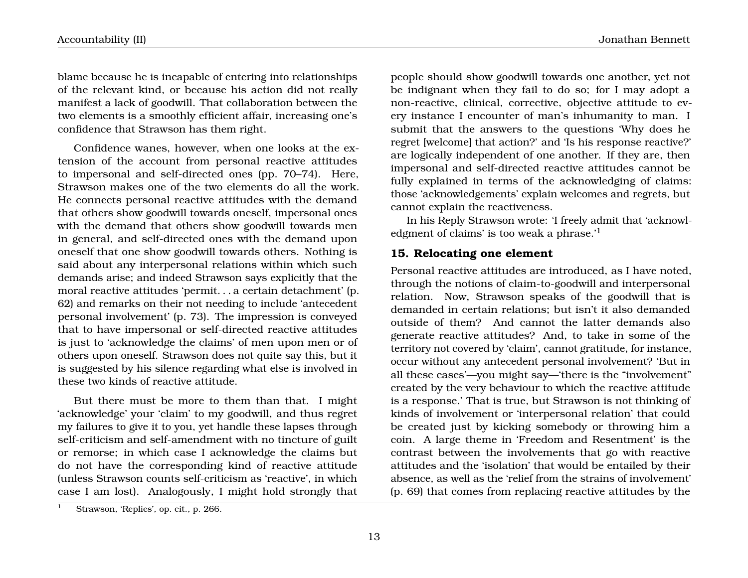blame because he is incapable of entering into relationships of the relevant kind, or because his action did not really manifest a lack of goodwill. That collaboration between the two elements is a smoothly efficient affair, increasing one's confidence that Strawson has them right.

Confidence wanes, however, when one looks at the extension of the account from personal reactive attitudes to impersonal and self-directed ones (pp. 70–74). Here, Strawson makes one of the two elements do all the work. He connects personal reactive attitudes with the demand that others show goodwill towards oneself, impersonal ones with the demand that others show goodwill towards men in general, and self-directed ones with the demand upon oneself that one show goodwill towards others. Nothing is said about any interpersonal relations within which such demands arise; and indeed Strawson says explicitly that the moral reactive attitudes 'permit. . . a certain detachment' (p. 62) and remarks on their not needing to include 'antecedent personal involvement' (p. 73). The impression is conveyed that to have impersonal or self-directed reactive attitudes is just to 'acknowledge the claims' of men upon men or of others upon oneself. Strawson does not quite say this, but it is suggested by his silence regarding what else is involved in these two kinds of reactive attitude.

But there must be more to them than that. I might 'acknowledge' your 'claim' to my goodwill, and thus regret my failures to give it to you, yet handle these lapses through self-criticism and self-amendment with no tincture of guilt or remorse; in which case I acknowledge the claims but do not have the corresponding kind of reactive attitude (unless Strawson counts self-criticism as 'reactive', in which case I am lost). Analogously, I might hold strongly that

In his Reply Strawson wrote: 'I freely admit that 'acknowledgment of claims' is too weak a phrase.'<sup>1</sup>

#### **15. Relocating one element**

Personal reactive attitudes are introduced, as I have noted, through the notions of claim-to-goodwill and interpersonal relation. Now, Strawson speaks of the goodwill that is demanded in certain relations; but isn't it also demanded outside of them? And cannot the latter demands also generate reactive attitudes? And, to take in some of the territory not covered by 'claim', cannot gratitude, for instance, occur without any antecedent personal involvement? 'But in all these cases'—you might say—'there is the "involvement" created by the very behaviour to which the reactive attitude is a response.' That is true, but Strawson is not thinking of kinds of involvement or 'interpersonal relation' that could be created just by kicking somebody or throwing him a coin. A large theme in 'Freedom and Resentment' is the contrast between the involvements that go with reactive attitudes and the 'isolation' that would be entailed by their absence, as well as the 'relief from the strains of involvement' (p. 69) that comes from replacing reactive attitudes by the

people should show goodwill towards one another, yet not be indignant when they fail to do so; for I may adopt a non-reactive, clinical, corrective, objective attitude to every instance I encounter of man's inhumanity to man. I submit that the answers to the questions 'Why does he regret [welcome] that action?' and 'Is his response reactive?' are logically independent of one another. If they are, then impersonal and self-directed reactive attitudes cannot be fully explained in terms of the acknowledging of claims: those 'acknowledgements' explain welcomes and regrets, but cannot explain the reactiveness.

Strawson, 'Replies', op. cit., p. 266.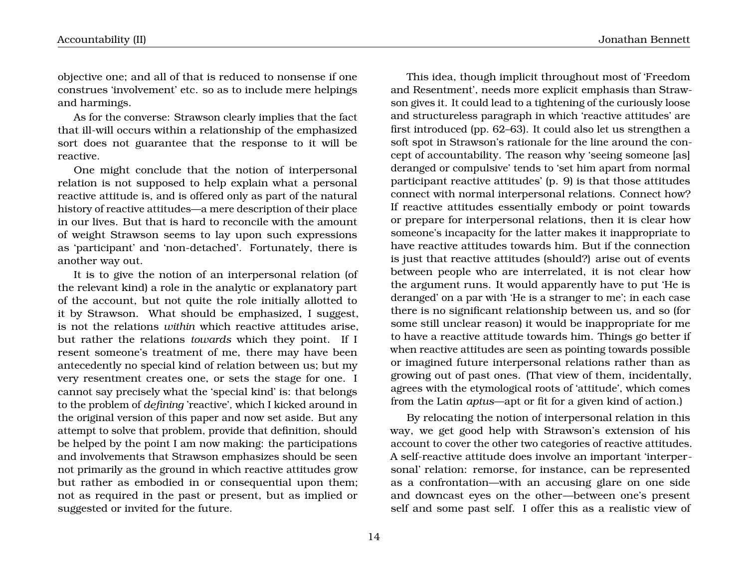objective one; and all of that is reduced to nonsense if one construes 'involvement' etc. so as to include mere helpings and harmings.

As for the converse: Strawson clearly implies that the fact that ill-will occurs within a relationship of the emphasized sort does not guarantee that the response to it will be reactive.

One might conclude that the notion of interpersonal relation is not supposed to help explain what a personal reactive attitude is, and is offered only as part of the natural history of reactive attitudes—a mere description of their place in our lives. But that is hard to reconcile with the amount of weight Strawson seems to lay upon such expressions as 'participant' and 'non-detached'. Fortunately, there is another way out.

It is to give the notion of an interpersonal relation (of the relevant kind) a role in the analytic or explanatory part of the account, but not quite the role initially allotted to it by Strawson. What should be emphasized, I suggest, is not the relations *within* which reactive attitudes arise, but rather the relations *towards* which they point. If I resent someone's treatment of me, there may have been antecedently no special kind of relation between us; but my very resentment creates one, or sets the stage for one. I cannot say precisely what the 'special kind' is: that belongs to the problem of *defining* 'reactive', which I kicked around in the original version of this paper and now set aside. But any attempt to solve that problem, provide that definition, should be helped by the point I am now making: the participations and involvements that Strawson emphasizes should be seen not primarily as the ground in which reactive attitudes grow but rather as embodied in or consequential upon them; not as required in the past or present, but as implied or suggested or invited for the future.

This idea, though implicit throughout most of 'Freedom and Resentment', needs more explicit emphasis than Strawson gives it. It could lead to a tightening of the curiously loose and structureless paragraph in which 'reactive attitudes' are first introduced (pp. 62–63). It could also let us strengthen a soft spot in Strawson's rationale for the line around the concept of accountability. The reason why 'seeing someone [as] deranged or compulsive' tends to 'set him apart from normal participant reactive attitudes' (p. 9) is that those attitudes connect with normal interpersonal relations. Connect how? If reactive attitudes essentially embody or point towards or prepare for interpersonal relations, then it is clear how someone's incapacity for the latter makes it inappropriate to have reactive attitudes towards him. But if the connection is just that reactive attitudes (should?) arise out of events between people who are interrelated, it is not clear how the argument runs. It would apparently have to put 'He is deranged' on a par with 'He is a stranger to me'; in each case there is no significant relationship between us, and so (for some still unclear reason) it would be inappropriate for me to have a reactive attitude towards him. Things go better if when reactive attitudes are seen as pointing towards possible or imagined future interpersonal relations rather than as growing out of past ones. (That view of them, incidentally, agrees with the etymological roots of 'attitude', which comes from the Latin *aptus*—apt or fit for a given kind of action.)

By relocating the notion of interpersonal relation in this way, we get good help with Strawson's extension of his account to cover the other two categories of reactive attitudes. A self-reactive attitude does involve an important 'interpersonal' relation: remorse, for instance, can be represented as a confrontation—with an accusing glare on one side and downcast eyes on the other—between one's present self and some past self. I offer this as a realistic view of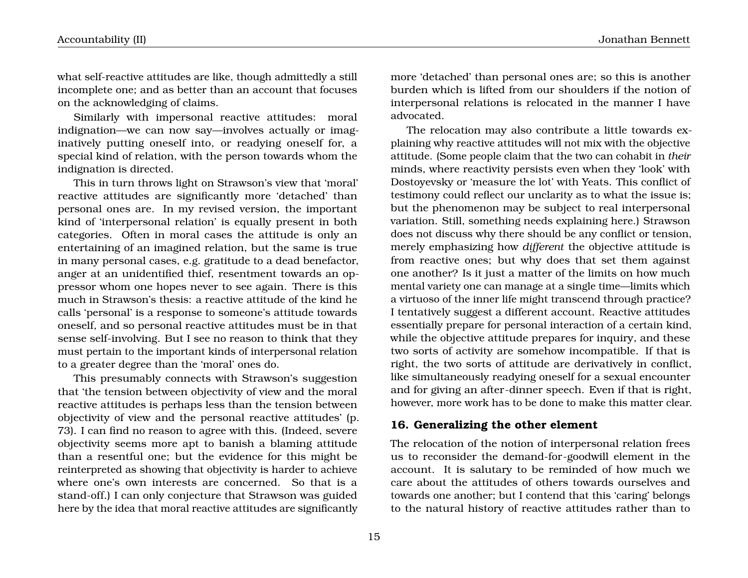what self-reactive attitudes are like, though admittedly a still incomplete one; and as better than an account that focuses on the acknowledging of claims.

Similarly with impersonal reactive attitudes: moral indignation—we can now say—involves actually or imaginatively putting oneself into, or readying oneself for, a special kind of relation, with the person towards whom the indignation is directed.

This in turn throws light on Strawson's view that 'moral' reactive attitudes are significantly more 'detached' than personal ones are. In my revised version, the important kind of 'interpersonal relation' is equally present in both categories. Often in moral cases the attitude is only an entertaining of an imagined relation, but the same is true in many personal cases, e.g. gratitude to a dead benefactor, anger at an unidentified thief, resentment towards an oppressor whom one hopes never to see again. There is this much in Strawson's thesis: a reactive attitude of the kind he calls 'personal' is a response to someone's attitude towards oneself, and so personal reactive attitudes must be in that sense self-involving. But I see no reason to think that they must pertain to the important kinds of interpersonal relation to a greater degree than the 'moral' ones do.

This presumably connects with Strawson's suggestion that 'the tension between objectivity of view and the moral reactive attitudes is perhaps less than the tension between objectivity of view and the personal reactive attitudes' (p. 73). I can find no reason to agree with this. (Indeed, severe objectivity seems more apt to banish a blaming attitude than a resentful one; but the evidence for this might be reinterpreted as showing that objectivity is harder to achieve where one's own interests are concerned. So that is a stand-off.) I can only conjecture that Strawson was guided here by the idea that moral reactive attitudes are significantly

more 'detached' than personal ones are; so this is another burden which is lifted from our shoulders if the notion of interpersonal relations is relocated in the manner I have advocated.

The relocation may also contribute a little towards explaining why reactive attitudes will not mix with the objective attitude. (Some people claim that the two can cohabit in *their* minds, where reactivity persists even when they 'look' with Dostoyevsky or 'measure the lot' with Yeats. This conflict of testimony could reflect our unclarity as to what the issue is; but the phenomenon may be subject to real interpersonal variation. Still, something needs explaining here.) Strawson does not discuss why there should be any conflict or tension, merely emphasizing how *different* the objective attitude is from reactive ones; but why does that set them against one another? Is it just a matter of the limits on how much mental variety one can manage at a single time—limits which a virtuoso of the inner life might transcend through practice? I tentatively suggest a different account. Reactive attitudes essentially prepare for personal interaction of a certain kind, while the objective attitude prepares for inquiry, and these two sorts of activity are somehow incompatible. If that is right, the two sorts of attitude are derivatively in conflict, like simultaneously readying oneself for a sexual encounter and for giving an after-dinner speech. Even if that is right, however, more work has to be done to make this matter clear.

#### **16. Generalizing the other element**

The relocation of the notion of interpersonal relation frees us to reconsider the demand-for-goodwill element in the account. It is salutary to be reminded of how much we care about the attitudes of others towards ourselves and towards one another; but I contend that this 'caring' belongs to the natural history of reactive attitudes rather than to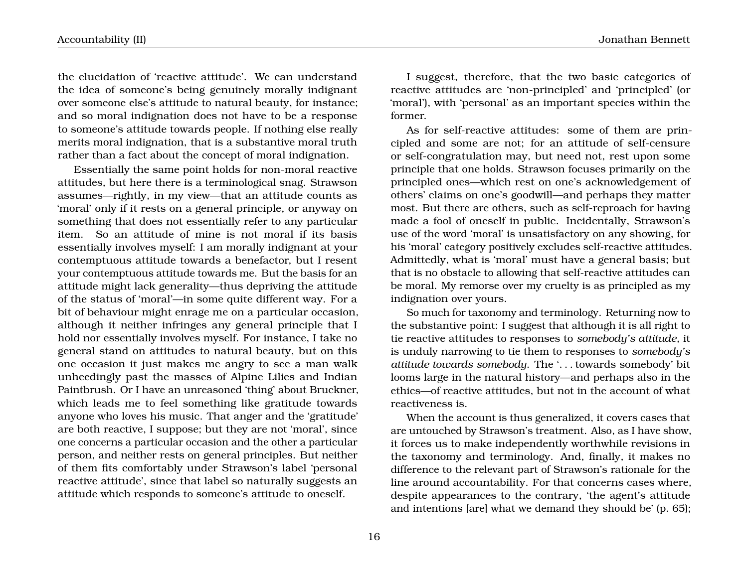the elucidation of 'reactive attitude'. We can understand the idea of someone's being genuinely morally indignant over someone else's attitude to natural beauty, for instance; and so moral indignation does not have to be a response to someone's attitude towards people. If nothing else really merits moral indignation, that is a substantive moral truth rather than a fact about the concept of moral indignation.

Essentially the same point holds for non-moral reactive attitudes, but here there is a terminological snag. Strawson assumes—rightly, in my view—that an attitude counts as 'moral' only if it rests on a general principle, or anyway on something that does not essentially refer to any particular item. So an attitude of mine is not moral if its basis essentially involves myself: I am morally indignant at your contemptuous attitude towards a benefactor, but I resent your contemptuous attitude towards me. But the basis for an attitude might lack generality—thus depriving the attitude of the status of 'moral'—in some quite different way. For a bit of behaviour might enrage me on a particular occasion, although it neither infringes any general principle that I hold nor essentially involves myself. For instance, I take no general stand on attitudes to natural beauty, but on this one occasion it just makes me angry to see a man walk unheedingly past the masses of Alpine Lilies and Indian Paintbrush. Or I have an unreasoned 'thing' about Bruckner, which leads me to feel something like gratitude towards anyone who loves his music. That anger and the 'gratitude' are both reactive, I suppose; but they are not 'moral', since one concerns a particular occasion and the other a particular person, and neither rests on general principles. But neither of them fits comfortably under Strawson's label 'personal reactive attitude', since that label so naturally suggests an attitude which responds to someone's attitude to oneself.

I suggest, therefore, that the two basic categories of reactive attitudes are 'non-principled' and 'principled' (or 'moral'), with 'personal' as an important species within the former.

As for self-reactive attitudes: some of them are principled and some are not; for an attitude of self-censure or self-congratulation may, but need not, rest upon some principle that one holds. Strawson focuses primarily on the principled ones—which rest on one's acknowledgement of others' claims on one's goodwill—and perhaps they matter most. But there are others, such as self-reproach for having made a fool of oneself in public. Incidentally, Strawson's use of the word 'moral' is unsatisfactory on any showing, for his 'moral' category positively excludes self-reactive attitudes. Admittedly, what is 'moral' must have a general basis; but that is no obstacle to allowing that self-reactive attitudes can be moral. My remorse over my cruelty is as principled as my indignation over yours.

So much for taxonomy and terminology. Returning now to the substantive point: I suggest that although it is all right to tie reactive attitudes to responses to *somebody's attitude*, it is unduly narrowing to tie them to responses to *somebody's attitude towards somebody*. The '. . . towards somebody' bit looms large in the natural history—and perhaps also in the ethics—of reactive attitudes, but not in the account of what reactiveness is.

When the account is thus generalized, it covers cases that are untouched by Strawson's treatment. Also, as I have show, it forces us to make independently worthwhile revisions in the taxonomy and terminology. And, finally, it makes no difference to the relevant part of Strawson's rationale for the line around accountability. For that concerns cases where, despite appearances to the contrary, 'the agent's attitude and intentions [are] what we demand they should be' (p. 65);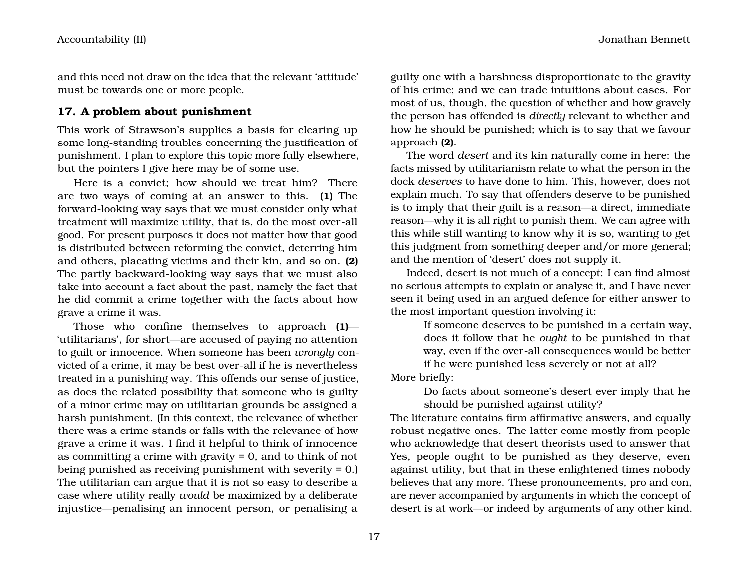and this need not draw on the idea that the relevant 'attitude' must be towards one or more people.

#### **17. A problem about punishment**

This work of Strawson's supplies a basis for clearing up some long-standing troubles concerning the justification of punishment. I plan to explore this topic more fully elsewhere, but the pointers I give here may be of some use.

Here is a convict; how should we treat him? There are two ways of coming at an answer to this. **(1)** The forward-looking way says that we must consider only what treatment will maximize utility, that is, do the most over-all good. For present purposes it does not matter how that good is distributed between reforming the convict, deterring him and others, placating victims and their kin, and so on. **(2)** The partly backward-looking way says that we must also take into account a fact about the past, namely the fact that he did commit a crime together with the facts about how grave a crime it was.

Those who confine themselves to approach **(1)**— 'utilitarians', for short—are accused of paying no attention to guilt or innocence. When someone has been *wrongly* convicted of a crime, it may be best over-all if he is nevertheless treated in a punishing way. This offends our sense of justice, as does the related possibility that someone who is guilty of a minor crime may on utilitarian grounds be assigned a harsh punishment. (In this context, the relevance of whether there was a crime stands or falls with the relevance of how grave a crime it was. I find it helpful to think of innocence as committing a crime with gravity = 0, and to think of not being punished as receiving punishment with severity = 0.) The utilitarian can argue that it is not so easy to describe a case where utility really *would* be maximized by a deliberate injustice—penalising an innocent person, or penalising a

guilty one with a harshness disproportionate to the gravity of his crime; and we can trade intuitions about cases. For most of us, though, the question of whether and how gravely the person has offended is *directly* relevant to whether and how he should be punished; which is to say that we favour approach **(2)**.

The word *desert* and its kin naturally come in here: the facts missed by utilitarianism relate to what the person in the dock *deserves* to have done to him. This, however, does not explain much. To say that offenders deserve to be punished is to imply that their guilt is a reason—a direct, immediate reason—why it is all right to punish them. We can agree with this while still wanting to know why it is so, wanting to get this judgment from something deeper and/or more general; and the mention of 'desert' does not supply it.

Indeed, desert is not much of a concept: I can find almost no serious attempts to explain or analyse it, and I have never seen it being used in an argued defence for either answer to the most important question involving it:

If someone deserves to be punished in a certain way, does it follow that he *ought* to be punished in that way, even if the over-all consequences would be better if he were punished less severely or not at all?

More briefly:

Do facts about someone's desert ever imply that he should be punished against utility?

The literature contains firm affirmative answers, and equally robust negative ones. The latter come mostly from people who acknowledge that desert theorists used to answer that Yes, people ought to be punished as they deserve, even against utility, but that in these enlightened times nobody believes that any more. These pronouncements, pro and con, are never accompanied by arguments in which the concept of desert is at work—or indeed by arguments of any other kind.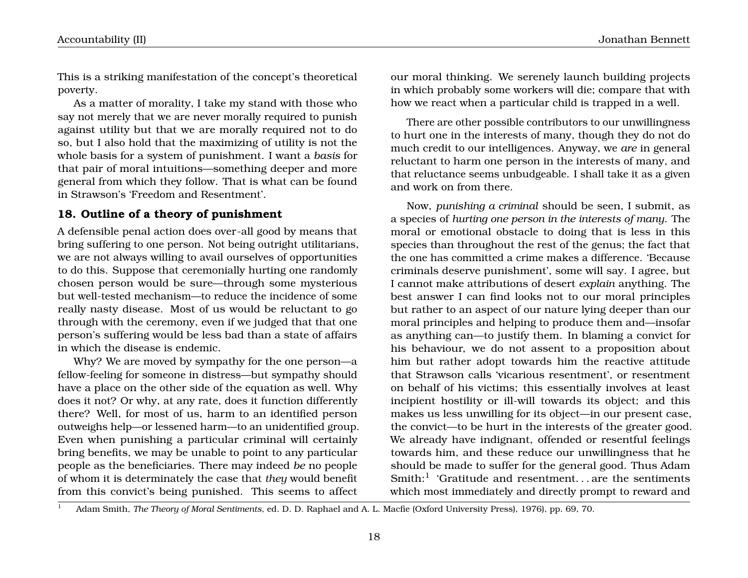This is a striking manifestation of the concept's theoretical poverty.

As a matter of morality, I take my stand with those who say not merely that we are never morally required to punish against utility but that we are morally required not to do so, but I also hold that the maximizing of utility is not the whole basis for a system of punishment. I want a *basis* for that pair of moral intuitions—something deeper and more general from which they follow. That is what can be found in Strawson's 'Freedom and Resentment'.

## **18. Outline of a theory of punishment**

A defensible penal action does over-all good by means that bring suffering to one person. Not being outright utilitarians, we are not always willing to avail ourselves of opportunities to do this. Suppose that ceremonially hurting one randomly chosen person would be sure—through some mysterious but well-tested mechanism—to reduce the incidence of some really nasty disease. Most of us would be reluctant to go through with the ceremony, even if we judged that that one person's suffering would be less bad than a state of affairs in which the disease is endemic.

Why? We are moved by sympathy for the one person—a fellow-feeling for someone in distress—but sympathy should have a place on the other side of the equation as well. Why does it not? Or why, at any rate, does it function differently there? Well, for most of us, harm to an identified person outweighs help—or lessened harm—to an unidentified group. Even when punishing a particular criminal will certainly bring benefits, we may be unable to point to any particular people as the beneficiaries. There may indeed *be* no people of whom it is determinately the case that *they* would benefit from this convict's being punished. This seems to affect

our moral thinking. We serenely launch building projects in which probably some workers will die; compare that with how we react when a particular child is trapped in a well.

There are other possible contributors to our unwillingness to hurt one in the interests of many, though they do not do much credit to our intelligences. Anyway, we *are* in general reluctant to harm one person in the interests of many, and that reluctance seems unbudgeable. I shall take it as a given and work on from there.

Now, *punishing a criminal* should be seen, I submit, as a species of *hurting one person in the interests of many*. The moral or emotional obstacle to doing that is less in this species than throughout the rest of the genus; the fact that the one has committed a crime makes a difference. 'Because criminals deserve punishment', some will say. I agree, but I cannot make attributions of desert *explain* anything. The best answer I can find looks not to our moral principles but rather to an aspect of our nature lying deeper than our moral principles and helping to produce them and—insofar as anything can—to justify them. In blaming a convict for his behaviour, we do not assent to a proposition about him but rather adopt towards him the reactive attitude that Strawson calls 'vicarious resentment', or resentment on behalf of his victims; this essentially involves at least incipient hostility or ill-will towards its object; and this makes us less unwilling for its object—in our present case, the convict—to be hurt in the interests of the greater good. We already have indignant, offended or resentful feelings towards him, and these reduce our unwillingness that he should be made to suffer for the general good. Thus Adam Smith:<sup>1</sup> 'Gratitude and resentment...are the sentiments which most immediately and directly prompt to reward and

<sup>1</sup> Adam Smith, *The Theory of Moral Sentiments*, ed. D. D. Raphael and A. L. Macfie (Oxford University Press), 1976), pp. 69, 70.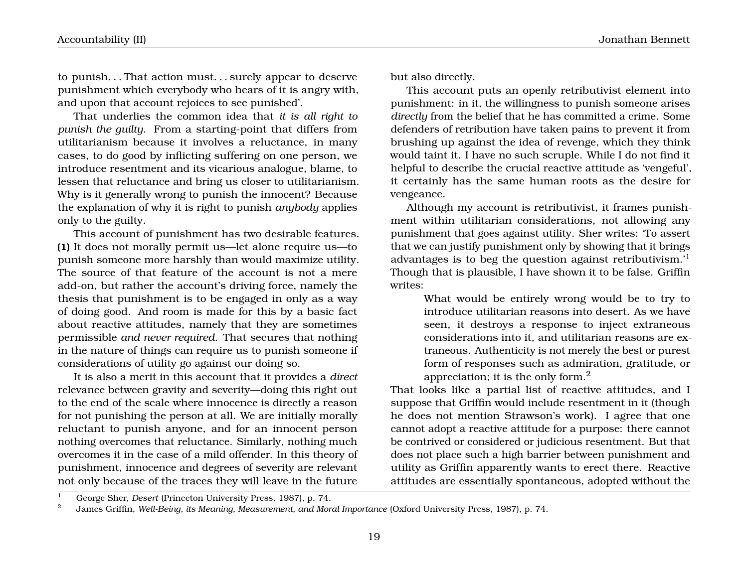to punish. . . That action must. . . surely appear to deserve punishment which everybody who hears of it is angry with, and upon that account rejoices to see punished'.

That underlies the common idea that *it is all right to punish the guilty*. From a starting-point that differs from utilitarianism because it involves a reluctance, in many cases, to do good by inflicting suffering on one person, we introduce resentment and its vicarious analogue, blame, to lessen that reluctance and bring us closer to utilitarianism. Why is it generally wrong to punish the innocent? Because the explanation of why it is right to punish *anybody* applies only to the guilty.

This account of punishment has two desirable features. **(1)** It does not morally permit us—let alone require us—to punish someone more harshly than would maximize utility. The source of that feature of the account is not a mere add-on, but rather the account's driving force, namely the thesis that punishment is to be engaged in only as a way of doing good. And room is made for this by a basic fact about reactive attitudes, namely that they are sometimes permissible *and never required*. That secures that nothing in the nature of things can require us to punish someone if considerations of utility go against our doing so.

It is also a merit in this account that it provides a *direct* relevance between gravity and severity—doing this right out to the end of the scale where innocence is directly a reason for not punishing the person at all. We are initially morally reluctant to punish anyone, and for an innocent person nothing overcomes that reluctance. Similarly, nothing much overcomes it in the case of a mild offender. In this theory of punishment, innocence and degrees of severity are relevant not only because of the traces they will leave in the future

but also directly.

This account puts an openly retributivist element into punishment: in it, the willingness to punish someone arises *directly* from the belief that he has committed a crime. Some defenders of retribution have taken pains to prevent it from brushing up against the idea of revenge, which they think would taint it. I have no such scruple. While I do not find it helpful to describe the crucial reactive attitude as 'vengeful', it certainly has the same human roots as the desire for vengeance.

Although my account is retributivist, it frames punishment within utilitarian considerations, not allowing any punishment that goes against utility. Sher writes: 'To assert that we can justify punishment only by showing that it brings advantages is to beg the question against retributivism.'<sup>1</sup> Though that is plausible, I have shown it to be false. Griffin writes:

What would be entirely wrong would be to try to introduce utilitarian reasons into desert. As we have seen, it destroys a response to inject extraneous considerations into it, and utilitarian reasons are extraneous. Authenticity is not merely the best or purest form of responses such as admiration, gratitude, or appreciation; it is the only form.<sup>2</sup>

That looks like a partial list of reactive attitudes, and I suppose that Griffin would include resentment in it (though he does not mention Strawson's work). I agree that one cannot adopt a reactive attitude for a purpose: there cannot be contrived or considered or judicious resentment. But that does not place such a high barrier between punishment and utility as Griffin apparently wants to erect there. Reactive attitudes are essentially spontaneous, adopted without the

<sup>1</sup> George Sher, *Desert* (Princeton University Press, 1987), p. 74.

<sup>2</sup> James Griffin, *Well-Being, its Meaning, Measurement, and Moral Importance* (Oxford University Press, 1987), p. 74.